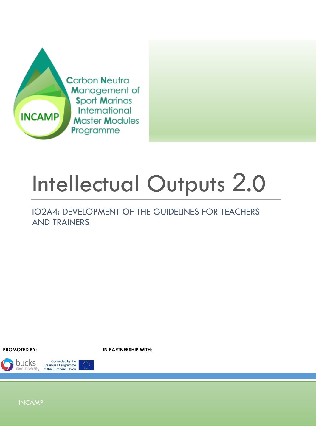

# Intellectual Outputs 2.0

IO2A4: DEVELOPMENT OF THE GUIDELINES FOR TEACHERS AND TRAINERS

**PROMOTED BY: IN PARTNERSHIP WITH:**

**bucks** 



INCAMP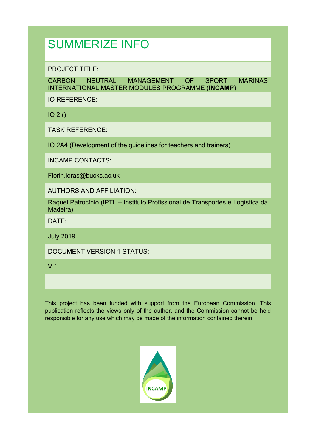# SUMMERIZE INFO

PROJECT TITLE:

CARBON NEUTRAL MANAGEMENT OF SPORT MARINAS INTERNATIONAL MASTER MODULES PROGRAMME (**INCAMP**)

IO REFERENCE:

IO 2 ()

TASK REFERENCE:

IO 2A4 (Development of the guidelines for teachers and trainers)

INCAMP CONTACTS:

Florin.ioras@bucks.ac.uk

AUTHORS AND AFFILIATION:

Raquel Patrocínio (IPTL – Instituto Profissional de Transportes e Logística da Madeira)

DATE:

July 2019

DOCUMENT VERSION 1 STATUS:

V.1

This project has been funded with support from the European Commission. This publication reflects the views only of the author, and the Commission cannot be held responsible for any use which may be made of the information contained therein.

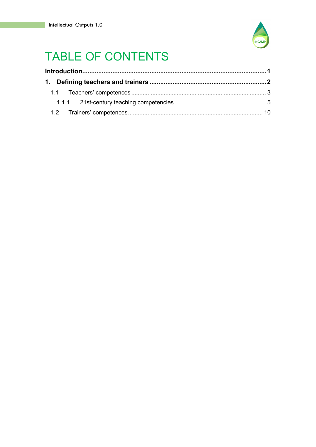

# **TABLE OF CONTENTS**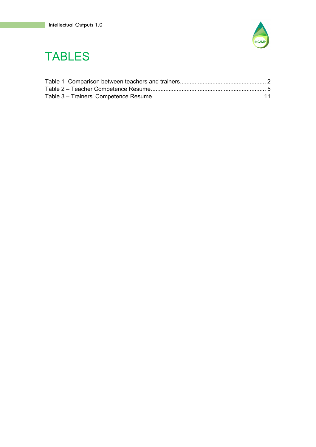

# TABLES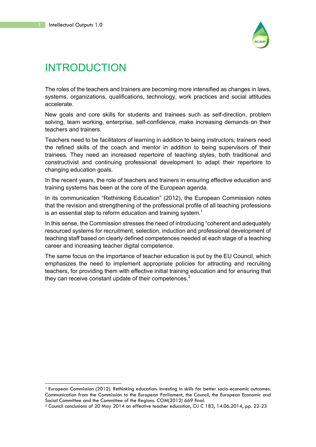

# INTRODUCTION

The roles of the teachers and trainers are becoming more intensified as changes in laws, systems, organizations, qualifications, technology, work practices and social attitudes accelerate.

New goals and core skills for students and trainees such as self-direction, problem solving, team working, enterprise, self-confidence, make increasing demands on their teachers and trainers.

Teachers need to be facilitators of learning in addition to being instructors; trainers need the refined skills of the coach and mentor in addition to being supervisors of their trainees. They need an increased repertoire of teaching styles, both traditional and constructivist and continuing professional development to adapt their repertoire to changing education goals.

In the recent years, the role of teachers and trainers in ensuring effective education and training systems has been at the core of the European agenda.

In its communication "Rethinking Education" (2012), the European Commission notes that the revision and strengthening of the professional profile of all teaching professions is an essential step to reform education and training system.<sup>1</sup>

In this sense, the Commission stresses the need of introducing "coherent and adequately resourced systems for recruitment, selection, induction and professional development of teaching staff based on clearly defined competences needed at each stage of a teaching career and increasing teacher digital competence.

The same focus on the importance of teacher education is put by the EU Council, which emphasizes the need to implement appropriate policies for attracting and recruiting teachers, for providing them with effective initial training education and for ensuring that they can receive constant update of their competences.<sup>2</sup>

<sup>1</sup> European Commission (2012). Rethinking education: investing in skills for better socio-economic outcomes. Communication from the Commission to the European Parliament, the Council, the European Economic and Social Committee and the Committee of the Regions. COM(2012) 669 final.<br><sup>2</sup> Council conclusions of 20 May 2014 on effective teacher education, OJ C 183, 14.06.2014, pp. 22-23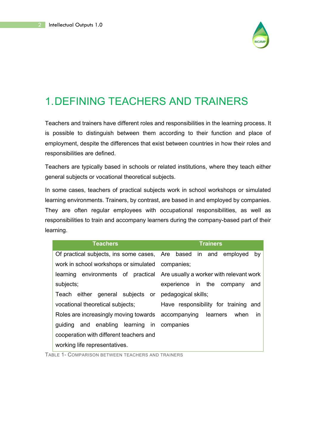

## 1.DEFINING TEACHERS AND TRAINERS

Teachers and trainers have different roles and responsibilities in the learning process. It is possible to distinguish between them according to their function and place of employment, despite the differences that exist between countries in how their roles and responsibilities are defined.

Teachers are typically based in schools or related institutions, where they teach either general subjects or vocational theoretical subjects.

In some cases, teachers of practical subjects work in school workshops or simulated learning environments. Trainers, by contrast, are based in and employed by companies. They are often regular employees with occupational responsibilities, as well as responsibilities to train and accompany learners during the company-based part of their learning.

| <b>Teachers</b>                                                  | <b>Trainers</b>                                                            |
|------------------------------------------------------------------|----------------------------------------------------------------------------|
| Of practical subjects, ins some cases, Are based in and employed | by                                                                         |
| work in school workshops or simulated companies;                 |                                                                            |
|                                                                  | learning environments of practical Are usually a worker with relevant work |
| subjects;                                                        | experience in the company<br>and                                           |
| Teach either general subjects or pedagogical skills;             |                                                                            |
| vocational theoretical subjects;                                 | Have responsibility for training and                                       |
| Roles are increasingly moving towards accompanying learners      | when<br><i>in</i>                                                          |
| guiding and enabling learning in                                 | companies                                                                  |
| cooperation with different teachers and                          |                                                                            |
| working life representatives.                                    |                                                                            |

TABLE 1- COMPARISON BETWEEN TEACHERS AND TRAINERS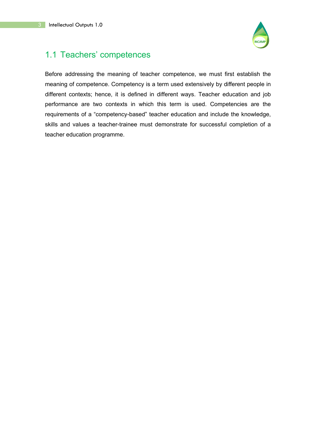

## 1.1 Teachers' competences

Before addressing the meaning of teacher competence, we must first establish the meaning of competence. Competency is a term used extensively by different people in different contexts; hence, it is defined in different ways. Teacher education and job performance are two contexts in which this term is used. Competencies are the requirements of a "competency-based" teacher education and include the knowledge, skills and values a teacher-trainee must demonstrate for successful completion of a teacher education programme.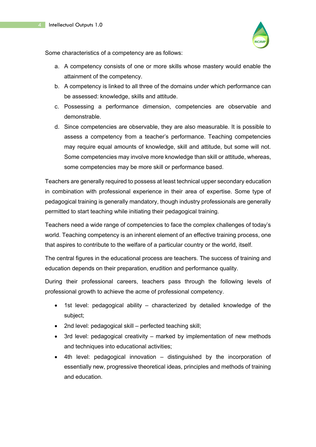

Some characteristics of a competency are as follows:

- a. A competency consists of one or more skills whose mastery would enable the attainment of the competency.
- b. A competency is linked to all three of the domains under which performance can be assessed: knowledge, skills and attitude.
- c. Possessing a performance dimension, competencies are observable and demonstrable.
- d. Since competencies are observable, they are also measurable. It is possible to assess a competency from a teacher's performance. Teaching competencies may require equal amounts of knowledge, skill and attitude, but some will not. Some competencies may involve more knowledge than skill or attitude, whereas, some competencies may be more skill or performance based.

Teachers are generally required to possess at least technical upper secondary education in combination with professional experience in their area of expertise. Some type of pedagogical training is generally mandatory, though industry professionals are generally permitted to start teaching while initiating their pedagogical training.

Teachers need a wide range of competencies to face the complex challenges of today's world. Teaching competency is an inherent element of an effective training process, one that aspires to contribute to the welfare of a particular country or the world, itself.

The central figures in the educational process are teachers. The success of training and education depends on their preparation, erudition and performance quality.

During their professional careers, teachers pass through the following levels of professional growth to achieve the acme of professional competency.

- 1st level: pedagogical ability characterized by detailed knowledge of the subject;
- 2nd level: pedagogical skill perfected teaching skill;
- 3rd level: pedagogical creativity marked by implementation of new methods and techniques into educational activities;
- 4th level: pedagogical innovation distinguished by the incorporation of essentially new, progressive theoretical ideas, principles and methods of training and education.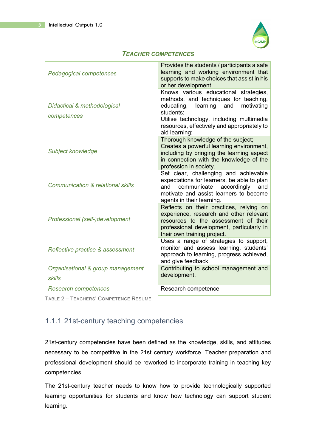

#### *TEACHER COMPETENCES*

| Pedagogical competences                            | Provides the students / participants a safe<br>learning and working environment that<br>supports to make choices that assist in his<br>or her development                                                                                           |
|----------------------------------------------------|-----------------------------------------------------------------------------------------------------------------------------------------------------------------------------------------------------------------------------------------------------|
| Didactical & methodological<br>competences         | Knows various educational strategies,<br>methods, and techniques for teaching,<br>learning and<br>educating,<br>motivating<br>students;<br>Utilise technology, including multimedia<br>resources, effectively and appropriately to<br>aid learning; |
| Subject knowledge                                  | Thorough knowledge of the subject;<br>Creates a powerful learning environment,<br>including by bringing the learning aspect<br>in connection with the knowledge of the<br>profession in society.                                                    |
| <b>Communication &amp; relational skills</b>       | Set clear, challenging and achievable<br>expectations for learners, be able to plan<br>and<br>communicate accordingly<br>and<br>motivate and assist learners to become<br>agents in their learning.                                                 |
| Professional (self-)development                    | Reflects on their practices, relying on<br>experience, research and other relevant<br>resources to the assessment of their<br>professional development, particularly in<br>their own training project.                                              |
| Reflective practice & assessment                   | Uses a range of strategies to support,<br>monitor and assess learning, students'<br>approach to learning, progress achieved,<br>and give feedback.                                                                                                  |
| Organisational & group management<br><b>skills</b> | Contributing to school management and<br>development.                                                                                                                                                                                               |
| Research competences                               | Research competence.                                                                                                                                                                                                                                |
| TABLE 2 - TEACHERS' COMPETENCE RESUME              |                                                                                                                                                                                                                                                     |

## 1.1.1 21st-century teaching competencies

21st-century competencies have been defined as the knowledge, skills, and attitudes necessary to be competitive in the 21st century workforce. Teacher preparation and professional development should be reworked to incorporate training in teaching key competencies.

The 21st-century teacher needs to know how to provide technologically supported learning opportunities for students and know how technology can support student learning.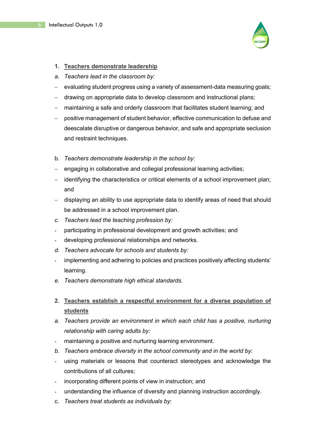

#### **1. Teachers demonstrate leadership**

- *a. Teachers lead in the classroom by:*
- evaluating student progress using a variety of assessment-data measuring goals;
- drawing on appropriate data to develop classroom and instructional plans;
- maintaining a safe and orderly classroom that facilitates student learning; and
- positive management of student behavior, effective communication to defuse and deescalate disruptive or dangerous behavior, and safe and appropriate seclusion and restraint techniques.
- b. *Teachers demonstrate leadership in the school by:*
- engaging in collaborative and collegial professional learning activities;
- identifying the characteristics or critical elements of a school improvement plan; and
- displaying an ability to use appropriate data to identify areas of need that should be addressed in a school improvement plan.
- *c. Teachers lead the teaching profession by:*
- participating in professional development and growth activities; and
- developing professional relationships and networks.
- *d. Teachers advocate for schools and students by:*
- implementing and adhering to policies and practices positively affecting students' learning.
- *e. Teachers demonstrate high ethical standards.*
- **2. Teachers establish a respectful environment for a diverse population of students**
- *a. Teachers provide an environment in which each child has a positive, nurturing relationship with caring adults by:*
- maintaining a positive and nurturing learning environment.
- *b. Teachers embrace diversity in the school community and in the world by:*
- using materials or lessons that counteract stereotypes and acknowledge the contributions of all cultures;
- incorporating different points of view in instruction; and
- understanding the influence of diversity and planning instruction accordingly.
- c. *Teachers treat students as individuals by*: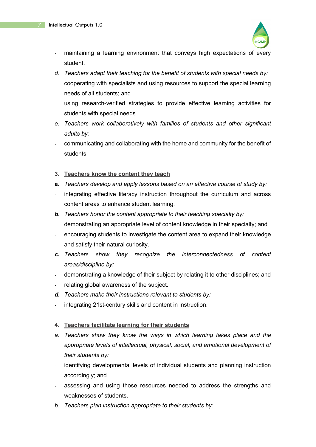

- maintaining a learning environment that conveys high expectations of every student.
- *d. Teachers adapt their teaching for the benefit of students with special needs by:*
- cooperating with specialists and using resources to support the special learning needs of all students; and
- using research-verified strategies to provide effective learning activities for students with special needs.
- *e. Teachers work collaboratively with families of students and other significant adults by:*
- communicating and collaborating with the home and community for the benefit of students.
- **3. Teachers know the content they teach**
- **a.** *Teachers develop and apply lessons based on an effective course of study by:*
- integrating effective literacy instruction throughout the curriculum and across content areas to enhance student learning.
- *b. Teachers honor the content appropriate to their teaching specialty by:*
- demonstrating an appropriate level of content knowledge in their specialty; and
- encouraging students to investigate the content area to expand their knowledge and satisfy their natural curiosity.
- *c. Teachers show they recognize the interconnectedness of content areas/discipline by:*
- demonstrating a knowledge of their subject by relating it to other disciplines; and
- relating global awareness of the subject.
- *d. Teachers make their instructions relevant to students by:*
- integrating 21st-century skills and content in instruction.

#### **4. Teachers facilitate learning for their students**

- *a. Teachers show they know the ways in which learning takes place and the appropriate levels of intellectual, physical, social, and emotional development of their students by:*
- identifying developmental levels of individual students and planning instruction accordingly; and
- assessing and using those resources needed to address the strengths and weaknesses of students.
- *b. Teachers plan instruction appropriate to their students by:*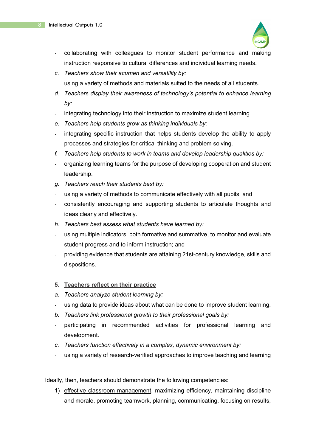

- collaborating with colleagues to monitor student performance and making instruction responsive to cultural differences and individual learning needs.
- *c. Teachers show their acumen and versatility by:*
- using a variety of methods and materials suited to the needs of all students.
- *d. Teachers display their awareness of technology's potential to enhance learning by:*
- integrating technology into their instruction to maximize student learning.
- *e. Teachers help students grow as thinking individuals by:*
- integrating specific instruction that helps students develop the ability to apply processes and strategies for critical thinking and problem solving.
- *f. Teachers help students to work in teams and develop leadership qualities by:*
- organizing learning teams for the purpose of developing cooperation and student leadership.
- *g. Teachers reach their students best by:*
- using a variety of methods to communicate effectively with all pupils; and
- consistently encouraging and supporting students to articulate thoughts and ideas clearly and effectively.
- *h. Teachers best assess what students have learned by:*
- using multiple indicators, both formative and summative, to monitor and evaluate student progress and to inform instruction; and
- providing evidence that students are attaining 21st-century knowledge, skills and dispositions.

### **5. Teachers reflect on their practice**

- *a. Teachers analyze student learning by:*
- using data to provide ideas about what can be done to improve student learning.
- *b. Teachers link professional growth to their professional goals by:*
- participating in recommended activities for professional learning and development.
- *c. Teachers function effectively in a complex, dynamic environment by:*
- using a variety of research-verified approaches to improve teaching and learning

Ideally, then, teachers should demonstrate the following competencies:

1) effective classroom management, maximizing efficiency, maintaining discipline and morale, promoting teamwork, planning, communicating, focusing on results,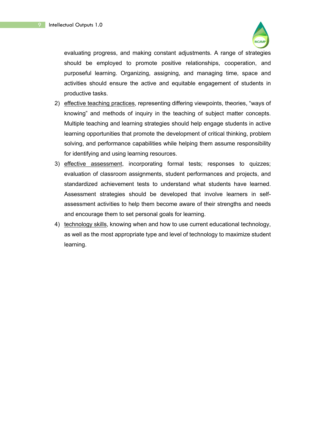

evaluating progress, and making constant adjustments. A range of strategies should be employed to promote positive relationships, cooperation, and purposeful learning. Organizing, assigning, and managing time, space and activities should ensure the active and equitable engagement of students in productive tasks.

- 2) effective teaching practices, representing differing viewpoints, theories, "ways of knowing" and methods of inquiry in the teaching of subject matter concepts. Multiple teaching and learning strategies should help engage students in active learning opportunities that promote the development of critical thinking, problem solving, and performance capabilities while helping them assume responsibility for identifying and using learning resources.
- 3) effective assessment, incorporating formal tests; responses to quizzes; evaluation of classroom assignments, student performances and projects, and standardized achievement tests to understand what students have learned. Assessment strategies should be developed that involve learners in selfassessment activities to help them become aware of their strengths and needs and encourage them to set personal goals for learning.
- 4) technology skills, knowing when and how to use current educational technology, as well as the most appropriate type and level of technology to maximize student learning.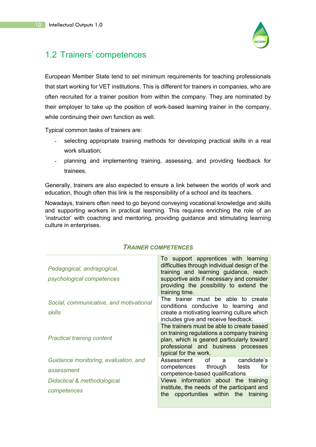

## 1.2 Trainers' competences

European Member State tend to set minimum requirements for teaching professionals that start working for VET institutions. This is different for trainers in companies, who are often recruited for a trainer position from within the company. They are nominated by their employer to take up the position of work-based learning trainer in the company, while continuing their own function as well.

Typical common tasks of trainers are:

- selecting appropriate training methods for developing practical skills in a real work situation;
- planning and implementing training, assessing, and providing feedback for trainees.

Generally, trainers are also expected to ensure a link between the worlds of work and education, though often this link is the responsibility of a school and its teachers.

Nowadays, trainers often need to go beyond conveying vocational knowledge and skills and supporting workers in practical learning. This requires enriching the role of an 'instructor' with coaching and mentoring, providing guidance and stimulating learning culture in enterprises.

| Pedagogical, andragogical,<br>psychological competences | To support apprentices with learning<br>difficulties through individual design of the<br>training and learning guidance, reach<br>supportive aids if necessary and consider<br>providing the possibility to extend the<br>training time. |
|---------------------------------------------------------|------------------------------------------------------------------------------------------------------------------------------------------------------------------------------------------------------------------------------------------|
| Social, communicative, and motivational<br>skills       | The trainer must be able to create<br>conditions conducive to learning and<br>create a motivating learning culture which<br>includes give and receive feedback.                                                                          |
| <b>Practical training content</b>                       | The trainers must be able to create based<br>on training regulations a company training<br>plan, which is geared particularly toward<br>professional and business processes<br>typical for the work.                                     |
| Guidance monitoring, evaluation, and                    | Assessment<br>of a<br>candidate's                                                                                                                                                                                                        |
| assessment                                              | competences through<br>for<br>tests<br>competence-based qualifications                                                                                                                                                                   |
| Didactical & methodological                             | Views information about the training                                                                                                                                                                                                     |
| competences                                             | institute, the needs of the participant and<br>opportunities within the training<br>the                                                                                                                                                  |

## *TRAINER COMPETENCES*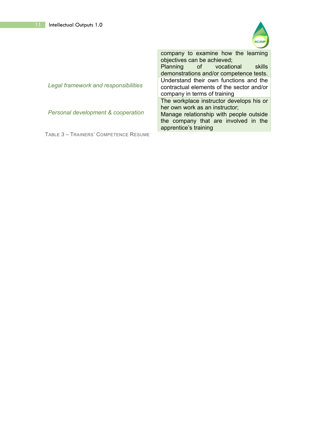

|                                      | company to examine how the learning<br>objectives can be achieved;<br>Planning of vocational<br>skills                                     |
|--------------------------------------|--------------------------------------------------------------------------------------------------------------------------------------------|
|                                      | demonstrations and/or competence tests.                                                                                                    |
| Legal framework and responsibilities | Understand their own functions and the<br>contractual elements of the sector and/or<br>company in terms of training                        |
|                                      | The workplace instructor develops his or                                                                                                   |
| Personal development & cooperation   | her own work as an instructor;<br>Manage relationship with people outside<br>the company that are involved in the<br>apprentice's training |

TABLE 3 – TRAINERS' COMPETENCE RESUME